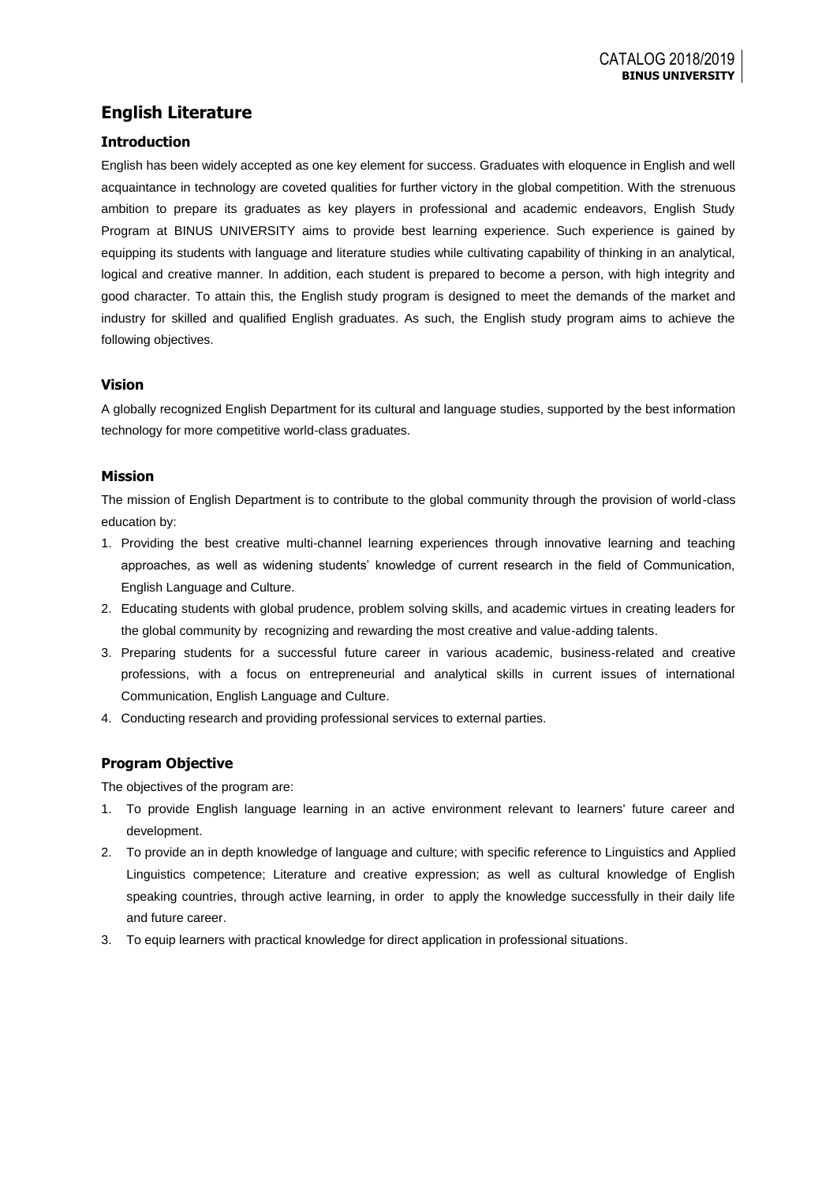# **English Literature**

## **Introduction**

English has been widely accepted as one key element for success. Graduates with eloquence in English and well acquaintance in technology are coveted qualities for further victory in the global competition. With the strenuous ambition to prepare its graduates as key players in professional and academic endeavors, English Study Program at BINUS UNIVERSITY aims to provide best learning experience. Such experience is gained by equipping its students with language and literature studies while cultivating capability of thinking in an analytical, logical and creative manner. In addition, each student is prepared to become a person, with high integrity and good character. To attain this, the English study program is designed to meet the demands of the market and industry for skilled and qualified English graduates. As such, the English study program aims to achieve the following objectives.

## **Vision**

A globally recognized English Department for its cultural and language studies, supported by the best information technology for more competitive world-class graduates.

## **Mission**

The mission of English Department is to contribute to the global community through the provision of world-class education by:

- 1. Providing the best creative multi-channel learning experiences through innovative learning and teaching approaches, as well as widening students' knowledge of current research in the field of Communication, English Language and Culture.
- 2. Educating students with global prudence, problem solving skills, and academic virtues in creating leaders for the global community by recognizing and rewarding the most creative and value-adding talents.
- 3. Preparing students for a successful future career in various academic, business-related and creative professions, with a focus on entrepreneurial and analytical skills in current issues of international Communication, English Language and Culture.
- 4. Conducting research and providing professional services to external parties.

## **Program Objective**

The objectives of the program are:

- 1. To provide English language learning in an active environment relevant to learners' future career and development.
- 2. To provide an in depth knowledge of language and culture; with specific reference to Linguistics and Applied Linguistics competence; Literature and creative expression; as well as cultural knowledge of English speaking countries, through active learning, in order to apply the knowledge successfully in their daily life and future career.
- 3. To equip learners with practical knowledge for direct application in professional situations.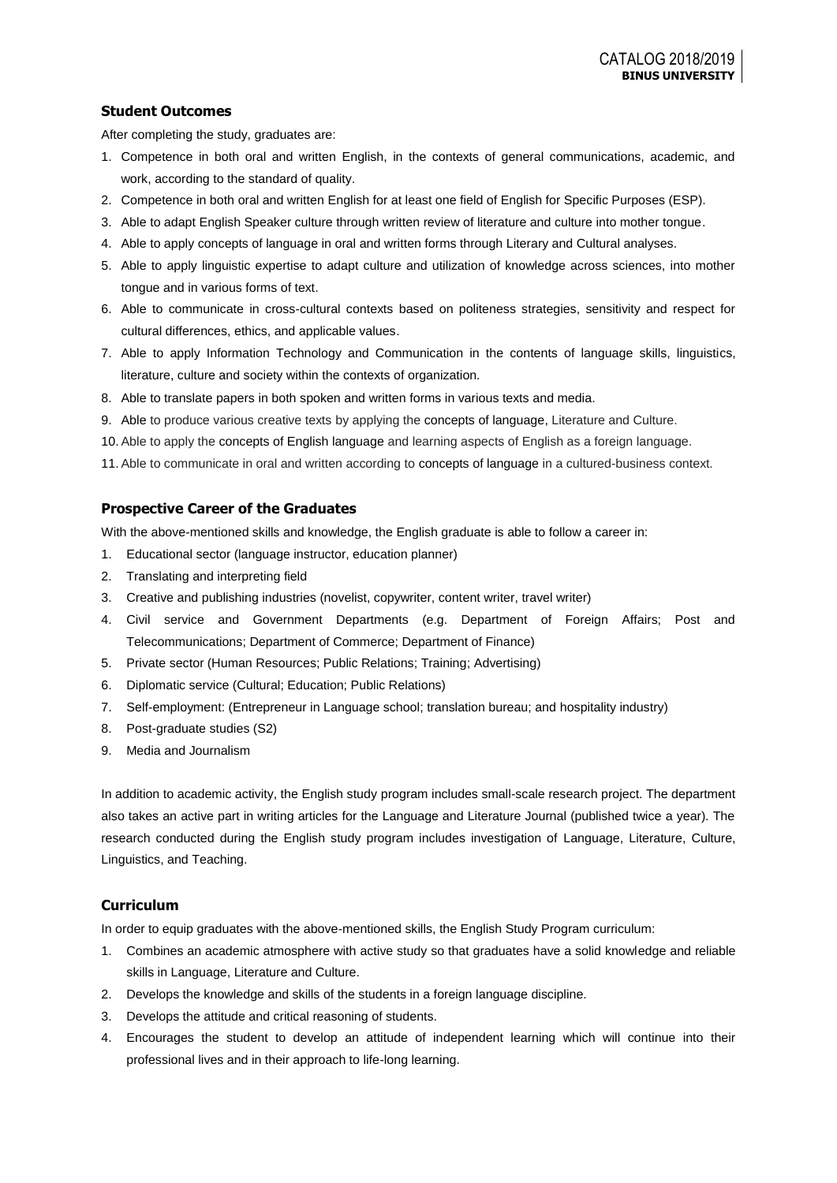## **Student Outcomes**

After completing the study, graduates are:

- 1. Competence in both oral and written English, in the contexts of general communications, academic, and work, according to the standard of quality.
- 2. Competence in both oral and written English for at least one field of English for Specific Purposes (ESP).
- 3. Able to adapt English Speaker culture through written review of literature and culture into mother tongue.
- 4. Able to apply concepts of language in oral and written forms through Literary and Cultural analyses.
- 5. Able to apply linguistic expertise to adapt culture and utilization of knowledge across sciences, into mother tongue and in various forms of text.
- 6. Able to communicate in cross-cultural contexts based on politeness strategies, sensitivity and respect for cultural differences, ethics, and applicable values.
- 7. Able to apply Information Technology and Communication in the contents of language skills, linguistics, literature, culture and society within the contexts of organization*.*
- 8. Able to translate papers in both spoken and written forms in various texts and media.
- 9. Able to produce various creative texts by applying the concepts of language, Literature and Culture.
- 10. Able to apply the concepts of English language and learning aspects of English as a foreign language.
- 11. Able to communicate in oral and written according to concepts of language in a cultured-business context.

### **Prospective Career of the Graduates**

With the above-mentioned skills and knowledge, the English graduate is able to follow a career in:

- 1. Educational sector (language instructor, education planner)
- 2. Translating and interpreting field
- 3. Creative and publishing industries (novelist, copywriter, content writer, travel writer)
- 4. Civil service and Government Departments (e.g. Department of Foreign Affairs; Post and Telecommunications; Department of Commerce; Department of Finance)
- 5. Private sector (Human Resources; Public Relations; Training; Advertising)
- 6. Diplomatic service (Cultural; Education; Public Relations)
- 7. Self-employment: (Entrepreneur in Language school; translation bureau; and hospitality industry)
- 8. Post-graduate studies (S2)
- 9. Media and Journalism

In addition to academic activity, the English study program includes small-scale research project. The department also takes an active part in writing articles for the Language and Literature Journal (published twice a year). The research conducted during the English study program includes investigation of Language, Literature, Culture, Linguistics, and Teaching.

### **Curriculum**

In order to equip graduates with the above-mentioned skills, the English Study Program curriculum:

- 1. Combines an academic atmosphere with active study so that graduates have a solid knowledge and reliable skills in Language, Literature and Culture.
- 2. Develops the knowledge and skills of the students in a foreign language discipline.
- 3. Develops the attitude and critical reasoning of students.
- 4. Encourages the student to develop an attitude of independent learning which will continue into their professional lives and in their approach to life-long learning.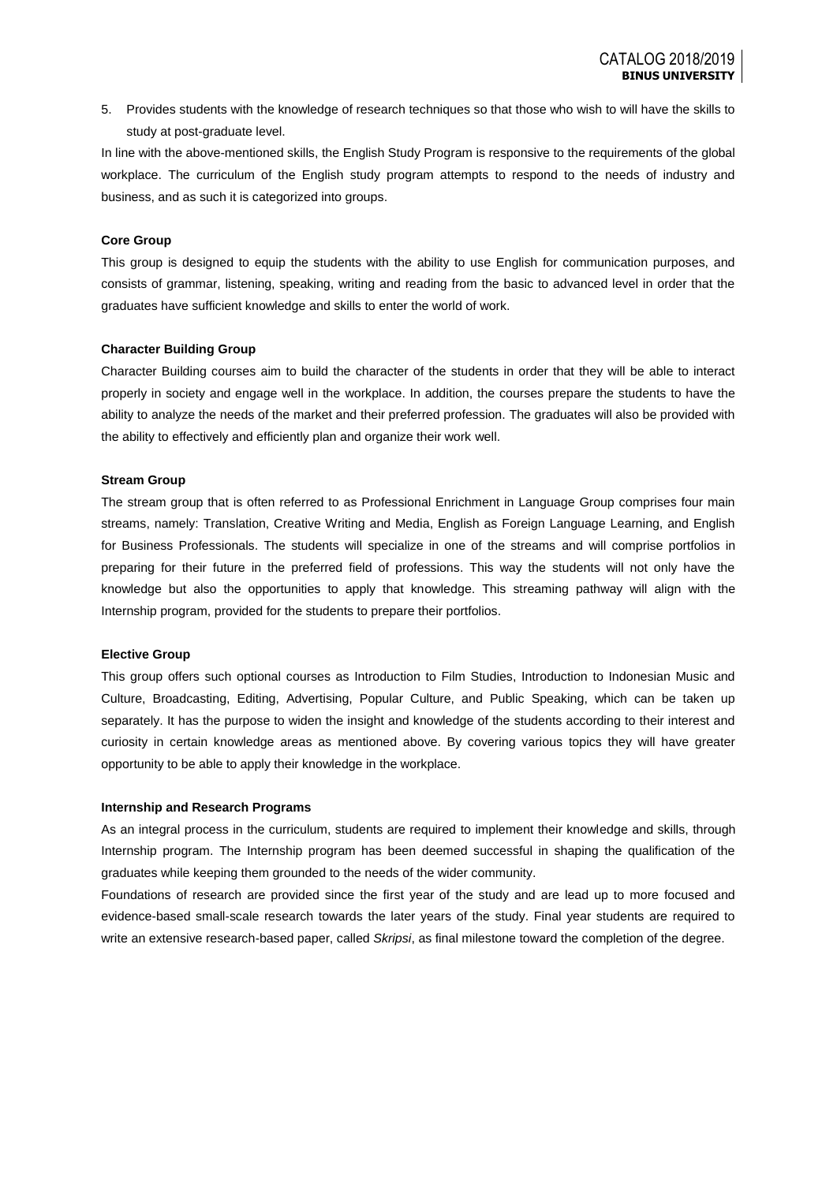5. Provides students with the knowledge of research techniques so that those who wish to will have the skills to study at post-graduate level.

In line with the above-mentioned skills, the English Study Program is responsive to the requirements of the global workplace. The curriculum of the English study program attempts to respond to the needs of industry and business, and as such it is categorized into groups.

#### **Core Group**

This group is designed to equip the students with the ability to use English for communication purposes, and consists of grammar, listening, speaking, writing and reading from the basic to advanced level in order that the graduates have sufficient knowledge and skills to enter the world of work.

#### **Character Building Group**

Character Building courses aim to build the character of the students in order that they will be able to interact properly in society and engage well in the workplace. In addition, the courses prepare the students to have the ability to analyze the needs of the market and their preferred profession. The graduates will also be provided with the ability to effectively and efficiently plan and organize their work well.

#### **Stream Group**

The stream group that is often referred to as Professional Enrichment in Language Group comprises four main streams, namely: Translation, Creative Writing and Media, English as Foreign Language Learning, and English for Business Professionals. The students will specialize in one of the streams and will comprise portfolios in preparing for their future in the preferred field of professions. This way the students will not only have the knowledge but also the opportunities to apply that knowledge. This streaming pathway will align with the Internship program, provided for the students to prepare their portfolios.

#### **Elective Group**

This group offers such optional courses as Introduction to Film Studies, Introduction to Indonesian Music and Culture, Broadcasting, Editing, Advertising, Popular Culture, and Public Speaking, which can be taken up separately. It has the purpose to widen the insight and knowledge of the students according to their interest and curiosity in certain knowledge areas as mentioned above. By covering various topics they will have greater opportunity to be able to apply their knowledge in the workplace.

#### **Internship and Research Programs**

As an integral process in the curriculum, students are required to implement their knowledge and skills, through Internship program. The Internship program has been deemed successful in shaping the qualification of the graduates while keeping them grounded to the needs of the wider community.

Foundations of research are provided since the first year of the study and are lead up to more focused and evidence-based small-scale research towards the later years of the study. Final year students are required to write an extensive research-based paper, called *Skripsi*, as final milestone toward the completion of the degree.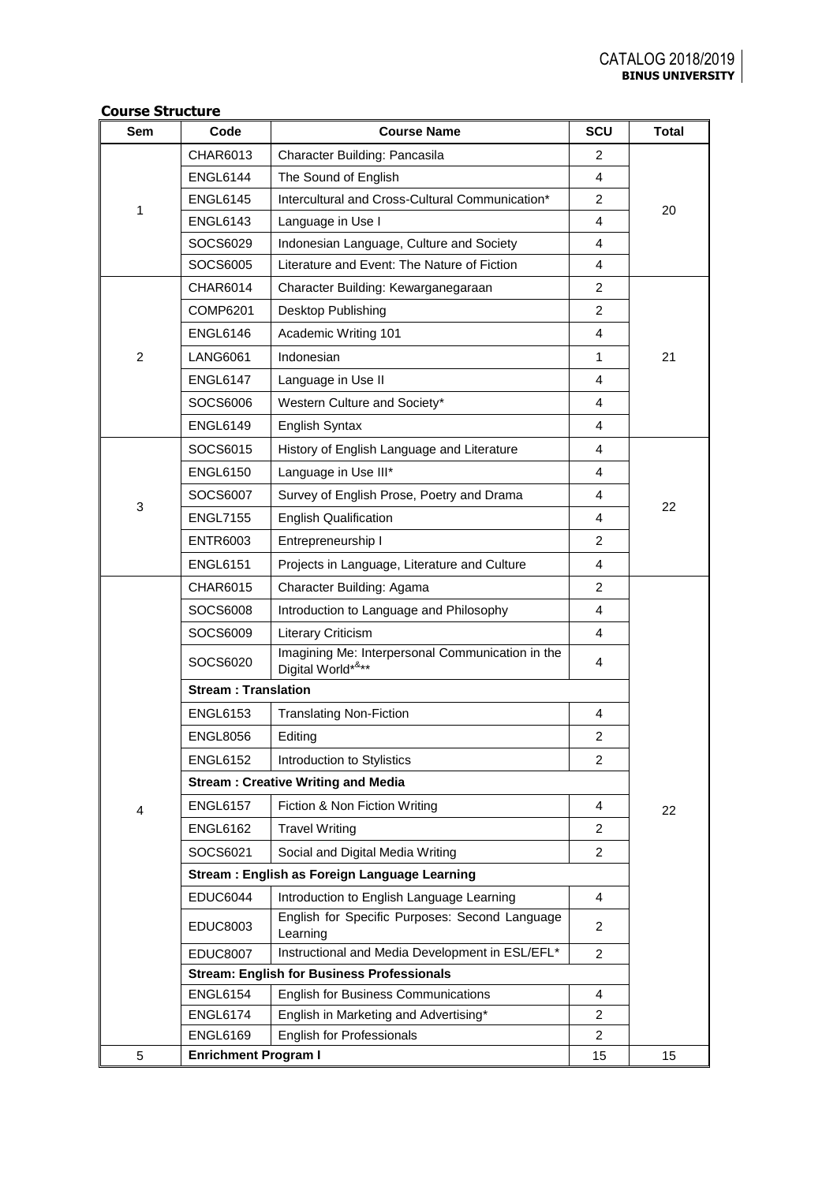### **Course Structure**

| <b>Sem</b>     | Code                        | <b>Course Name</b>                                                    |                | <b>Total</b> |  |
|----------------|-----------------------------|-----------------------------------------------------------------------|----------------|--------------|--|
|                | CHAR6013                    | Character Building: Pancasila                                         | $\overline{2}$ |              |  |
|                | <b>ENGL6144</b>             | The Sound of English                                                  | 4              |              |  |
| 1              | <b>ENGL6145</b>             | Intercultural and Cross-Cultural Communication*                       | 2              | 20           |  |
|                | <b>ENGL6143</b>             | Language in Use I                                                     | 4              |              |  |
|                | SOCS6029                    | Indonesian Language, Culture and Society                              | 4              |              |  |
|                | SOCS6005                    | Literature and Event: The Nature of Fiction                           | 4              |              |  |
|                | CHAR6014                    | Character Building: Kewarganegaraan                                   | 2              |              |  |
|                | COMP6201                    | Desktop Publishing                                                    | $\overline{2}$ |              |  |
|                | <b>ENGL6146</b>             | Academic Writing 101                                                  | 4              |              |  |
| $\overline{2}$ | LANG6061                    | Indonesian                                                            | 1              | 21           |  |
|                | ENGL6147                    | Language in Use II                                                    | 4              |              |  |
|                | SOCS6006                    | Western Culture and Society*                                          | 4              |              |  |
|                | <b>ENGL6149</b>             | English Syntax                                                        | 4              |              |  |
|                | SOCS6015                    | History of English Language and Literature                            | 4              |              |  |
|                | <b>ENGL6150</b>             | Language in Use III*                                                  | 4              |              |  |
|                | SOCS6007                    | Survey of English Prose, Poetry and Drama                             | 4              |              |  |
| 3              | <b>ENGL7155</b>             | <b>English Qualification</b>                                          | 4              | 22           |  |
|                | <b>ENTR6003</b>             | Entrepreneurship I                                                    | 2              |              |  |
|                | <b>ENGL6151</b>             | Projects in Language, Literature and Culture                          | 4              |              |  |
|                | CHAR6015                    | Character Building: Agama                                             | 2              |              |  |
|                | SOCS6008                    | Introduction to Language and Philosophy                               | 4              |              |  |
|                | SOCS6009                    | Literary Criticism                                                    | 4              |              |  |
|                | SOCS6020                    | Imagining Me: Interpersonal Communication in the<br>Digital World*&** | 4              |              |  |
|                | <b>Stream: Translation</b>  |                                                                       |                |              |  |
|                | <b>ENGL6153</b>             | <b>Translating Non-Fiction</b>                                        | 4              |              |  |
|                | <b>ENGL8056</b>             | Editing                                                               | $\overline{c}$ |              |  |
|                | <b>ENGL6152</b>             | Introduction to Stylistics                                            | $\overline{2}$ |              |  |
|                |                             | <b>Stream: Creative Writing and Media</b>                             |                |              |  |
| 4              | <b>ENGL6157</b>             | Fiction & Non Fiction Writing                                         | $\overline{4}$ | 22           |  |
|                | <b>ENGL6162</b>             | <b>Travel Writing</b>                                                 | 2              |              |  |
|                | SOCS6021                    | Social and Digital Media Writing                                      | $\overline{2}$ |              |  |
|                |                             | Stream: English as Foreign Language Learning                          |                |              |  |
|                | <b>EDUC6044</b>             | Introduction to English Language Learning                             | $\overline{4}$ |              |  |
|                | <b>EDUC8003</b>             | English for Specific Purposes: Second Language<br>Learning            |                |              |  |
|                | <b>EDUC8007</b>             | Instructional and Media Development in ESL/EFL*                       |                |              |  |
|                |                             | <b>Stream: English for Business Professionals</b>                     |                |              |  |
|                | <b>ENGL6154</b>             | <b>English for Business Communications</b><br>$\overline{4}$          |                |              |  |
|                | <b>ENGL6174</b>             | English in Marketing and Advertising*                                 | 2              |              |  |
|                | <b>ENGL6169</b>             | English for Professionals                                             | $\overline{2}$ |              |  |
| 5              | <b>Enrichment Program I</b> |                                                                       | 15             | 15           |  |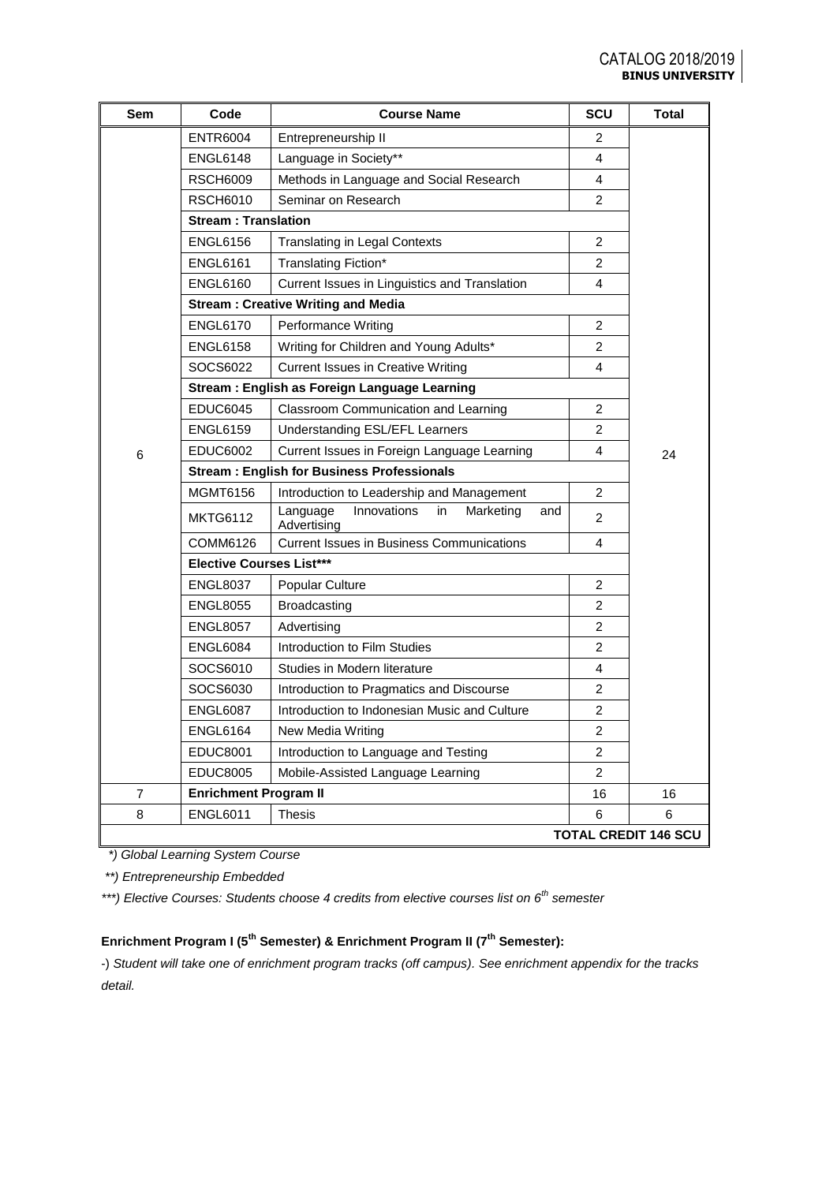| Sem            | Code                                                            | <b>Course Name</b>                                               | <b>SCU</b>     | <b>Total</b>                |
|----------------|-----------------------------------------------------------------|------------------------------------------------------------------|----------------|-----------------------------|
|                | <b>ENTR6004</b>                                                 | Entrepreneurship II                                              | 2              |                             |
|                | ENGL6148                                                        | Language in Society**                                            | 4              |                             |
|                | <b>RSCH6009</b>                                                 | $\overline{4}$                                                   |                |                             |
|                | <b>RSCH6010</b>                                                 | Seminar on Research                                              | $\overline{2}$ |                             |
|                | <b>Stream: Translation</b>                                      |                                                                  |                |                             |
|                | <b>ENGL6156</b>                                                 | <b>Translating in Legal Contexts</b>                             | $\overline{2}$ |                             |
|                | <b>ENGL6161</b>                                                 | Translating Fiction*                                             | $\overline{2}$ |                             |
|                | <b>ENGL6160</b>                                                 | Current Issues in Linguistics and Translation                    | 4              |                             |
|                |                                                                 | <b>Stream: Creative Writing and Media</b>                        |                |                             |
|                | <b>ENGL6170</b>                                                 | Performance Writing                                              | $\overline{2}$ |                             |
|                | <b>ENGL6158</b>                                                 | Writing for Children and Young Adults*                           | 2              |                             |
|                | SOCS6022                                                        | <b>Current Issues in Creative Writing</b>                        | 4              |                             |
|                |                                                                 | Stream: English as Foreign Language Learning                     |                |                             |
|                | <b>EDUC6045</b>                                                 | Classroom Communication and Learning                             | $\overline{2}$ |                             |
|                | <b>ENGL6159</b>                                                 | Understanding ESL/EFL Learners                                   | 2              |                             |
| 6              | <b>EDUC6002</b>                                                 | 4                                                                | 24             |                             |
|                |                                                                 | <b>Stream: English for Business Professionals</b>                |                |                             |
|                | MGMT6156                                                        | Introduction to Leadership and Management                        | $\overline{2}$ |                             |
|                | <b>MKTG6112</b>                                                 | Innovations<br>in<br>Marketing<br>Language<br>and<br>Advertising |                |                             |
|                | COMM6126                                                        | <b>Current Issues in Business Communications</b>                 | 4              |                             |
|                | <b>Elective Courses List***</b>                                 |                                                                  |                |                             |
|                | <b>ENGL8037</b>                                                 | Popular Culture                                                  | $\overline{2}$ |                             |
|                | <b>ENGL8055</b>                                                 | <b>Broadcasting</b>                                              | 2              |                             |
|                | <b>ENGL8057</b>                                                 | Advertising                                                      | $\overline{2}$ |                             |
|                | <b>ENGL6084</b>                                                 | Introduction to Film Studies                                     | $\overline{2}$ |                             |
|                | SOCS6010                                                        | $\overline{4}$                                                   |                |                             |
|                | SOCS6030                                                        | $\overline{2}$                                                   |                |                             |
|                | Introduction to Indonesian Music and Culture<br><b>ENGL6087</b> |                                                                  |                |                             |
|                | <b>ENGL6164</b>                                                 | New Media Writing                                                | 2              |                             |
|                | <b>EDUC8001</b>                                                 | Introduction to Language and Testing                             | $\overline{2}$ |                             |
|                | <b>EDUC8005</b>                                                 | Mobile-Assisted Language Learning                                | $\overline{2}$ |                             |
| $\overline{7}$ | <b>Enrichment Program II</b>                                    |                                                                  | 16             | 16                          |
| 8              | <b>ENGL6011</b>                                                 | <b>Thesis</b>                                                    | 6              | 6                           |
|                |                                                                 |                                                                  |                | <b>TOTAL CREDIT 146 SCU</b> |

 *\*) Global Learning System Course*

*\*\*) Entrepreneurship Embedded* 

*\*\*\*) Elective Courses: Students choose 4 credits from elective courses list on 6th semester*

# **Enrichment Program I (5th Semester) & Enrichment Program II (7th Semester):**

-) *Student will take one of enrichment program tracks (off campus). See enrichment appendix for the tracks detail.*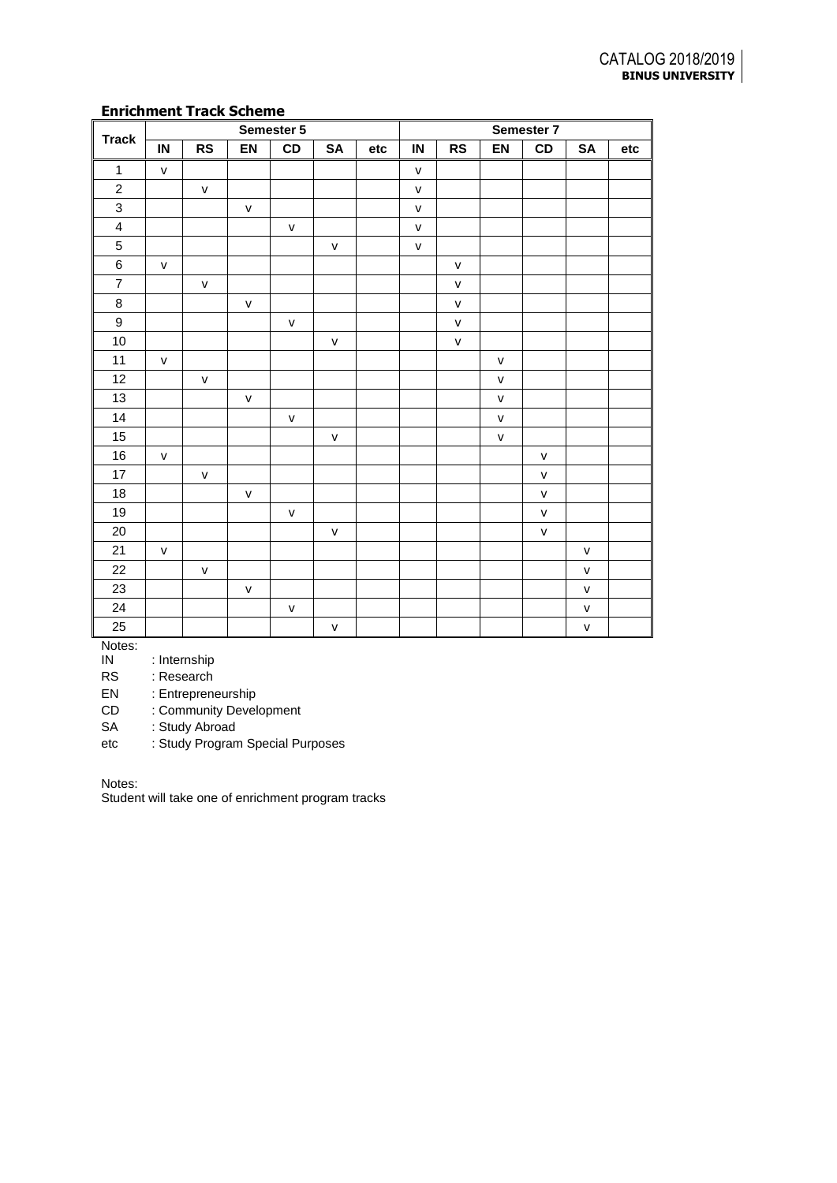| <b>Track</b>            | Semester 5   |              |              |              | Semester 7   |     |              |              |              |              |              |     |
|-------------------------|--------------|--------------|--------------|--------------|--------------|-----|--------------|--------------|--------------|--------------|--------------|-----|
|                         | IN           | <b>RS</b>    | EN           | CD           | SA           | etc | $\sf IN$     | <b>RS</b>    | EN           | CD           | SA           | etc |
| $\mathbf{1}$            | $\mathsf{V}$ |              |              |              |              |     | $\mathsf{v}$ |              |              |              |              |     |
| $\sqrt{2}$              |              | v            |              |              |              |     | $\mathsf{V}$ |              |              |              |              |     |
| $\overline{3}$          |              |              | $\mathsf{V}$ |              |              |     | $\mathsf{v}$ |              |              |              |              |     |
| $\overline{\mathbf{4}}$ |              |              |              | $\mathsf{V}$ |              |     | $\mathsf{v}$ |              |              |              |              |     |
| $\sqrt{5}$              |              |              |              |              | $\mathsf{V}$ |     | $\mathsf{v}$ |              |              |              |              |     |
| $\,6$                   | $\mathsf{V}$ |              |              |              |              |     |              | ${\sf v}$    |              |              |              |     |
| $\overline{7}$          |              | V            |              |              |              |     |              | $\mathsf{V}$ |              |              |              |     |
| $\bf 8$                 |              |              | $\mathsf{v}$ |              |              |     |              | $\mathsf{v}$ |              |              |              |     |
| $\boldsymbol{9}$        |              |              |              | $\mathsf{V}$ |              |     |              | $\mathsf{V}$ |              |              |              |     |
| $10$                    |              |              |              |              | $\mathsf{V}$ |     |              | $\mathsf{V}$ |              |              |              |     |
| 11                      | $\mathsf{V}$ |              |              |              |              |     |              |              | $\mathsf{V}$ |              |              |     |
| 12                      |              | $\mathsf{V}$ |              |              |              |     |              |              | $\mathsf{V}$ |              |              |     |
| 13                      |              |              | $\mathsf{V}$ |              |              |     |              |              | $\mathsf{V}$ |              |              |     |
| $14$                    |              |              |              | $\mathsf{v}$ |              |     |              |              | $\mathsf{v}$ |              |              |     |
| 15                      |              |              |              |              | $\mathsf{V}$ |     |              |              | $\mathsf{v}$ |              |              |     |
| $16\,$                  | $\mathsf{V}$ |              |              |              |              |     |              |              |              | $\mathsf{V}$ |              |     |
| 17                      |              | $\mathsf{V}$ |              |              |              |     |              |              |              | v            |              |     |
| $18\,$                  |              |              | $\mathsf{V}$ |              |              |     |              |              |              | $\mathsf{V}$ |              |     |
| 19                      |              |              |              | $\mathsf{V}$ |              |     |              |              |              | $\sf V$      |              |     |
| 20                      |              |              |              |              | v            |     |              |              |              | $\mathsf{V}$ |              |     |
| 21                      | $\mathsf{V}$ |              |              |              |              |     |              |              |              |              | $\mathsf{V}$ |     |
| 22                      |              | $\mathsf{V}$ |              |              |              |     |              |              |              |              | $\mathsf{V}$ |     |
| 23                      |              |              | $\mathsf{V}$ |              |              |     |              |              |              |              | $\mathsf{V}$ |     |
| 24                      |              |              |              | $\sf V$      |              |     |              |              |              |              | $\mathsf{V}$ |     |
| 25                      |              |              |              |              | $\mathsf{V}$ |     |              |              |              |              | $\mathsf{V}$ |     |

Notes:<br>IN : Internship

RS : Research

EN : Entrepreneurship

CD : Community Development

SA : Study Abroad

etc : Study Program Special Purposes

Notes:

Student will take one of enrichment program tracks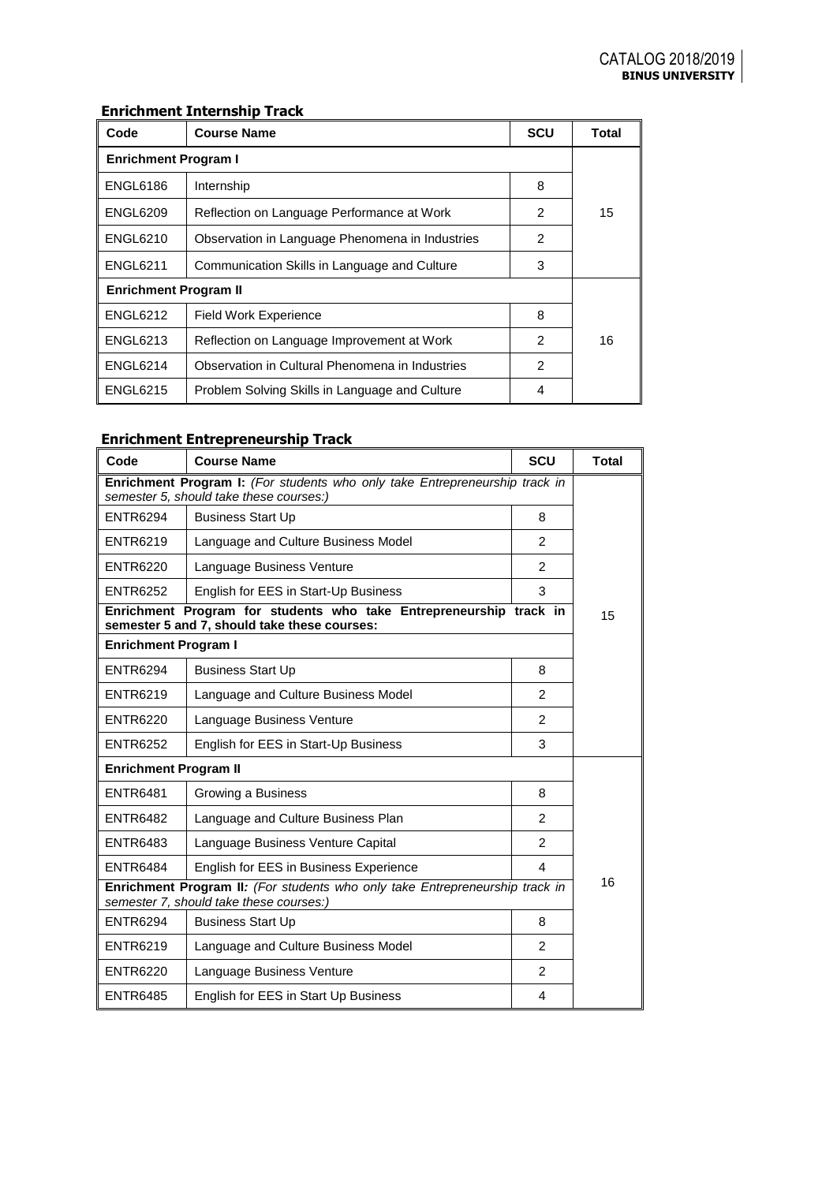## **Enrichment Internship Track**

| Code                         | <b>Course Name</b>                              | <b>SCU</b>     | Total |
|------------------------------|-------------------------------------------------|----------------|-------|
| <b>Enrichment Program I</b>  |                                                 |                |       |
| <b>ENGL6186</b>              | Internship                                      | 8              |       |
| <b>ENGL6209</b>              | Reflection on Language Performance at Work      | $\mathfrak{p}$ | 15    |
| <b>ENGL6210</b>              | Observation in Language Phenomena in Industries | 2              |       |
| <b>ENGL6211</b>              | Communication Skills in Language and Culture    | 3              |       |
| <b>Enrichment Program II</b> |                                                 |                |       |
| <b>ENGL6212</b>              | <b>Field Work Experience</b>                    | 8              |       |
| <b>ENGL6213</b>              | Reflection on Language Improvement at Work      | $\mathfrak{p}$ | 16    |
| <b>ENGL6214</b>              | Observation in Cultural Phenomena in Industries | $\mathfrak{p}$ |       |
| <b>ENGL6215</b>              | Problem Solving Skills in Language and Culture  | 4              |       |

# **Enrichment Entrepreneurship Track**

| Code                                                                                                                    | <b>Course Name</b>                                                                                                 | <b>SCU</b>              | <b>Total</b> |  |  |
|-------------------------------------------------------------------------------------------------------------------------|--------------------------------------------------------------------------------------------------------------------|-------------------------|--------------|--|--|
| Enrichment Program I: (For students who only take Entrepreneurship track in<br>semester 5, should take these courses:)  |                                                                                                                    |                         |              |  |  |
| <b>ENTR6294</b>                                                                                                         | <b>Business Start Up</b>                                                                                           | 8                       |              |  |  |
| <b>ENTR6219</b>                                                                                                         | Language and Culture Business Model                                                                                | $\mathfrak{p}$          |              |  |  |
| <b>ENTR6220</b>                                                                                                         | Language Business Venture                                                                                          | $\mathfrak{p}$          |              |  |  |
| <b>ENTR6252</b>                                                                                                         | English for EES in Start-Up Business                                                                               | 3                       |              |  |  |
|                                                                                                                         | Enrichment Program for students who take Entrepreneurship track in<br>semester 5 and 7, should take these courses: |                         | 15           |  |  |
| <b>Enrichment Program I</b>                                                                                             |                                                                                                                    |                         |              |  |  |
| <b>ENTR6294</b>                                                                                                         | <b>Business Start Up</b>                                                                                           | 8                       |              |  |  |
| <b>ENTR6219</b>                                                                                                         | Language and Culture Business Model                                                                                | $\mathfrak{p}$          |              |  |  |
| <b>ENTR6220</b>                                                                                                         | Language Business Venture                                                                                          |                         |              |  |  |
| <b>ENTR6252</b>                                                                                                         | English for EES in Start-Up Business                                                                               | 3                       |              |  |  |
|                                                                                                                         | <b>Enrichment Program II</b>                                                                                       |                         |              |  |  |
| <b>ENTR6481</b>                                                                                                         | Growing a Business                                                                                                 | 8                       |              |  |  |
| <b>ENTR6482</b>                                                                                                         | Language and Culture Business Plan                                                                                 | $\mathfrak{p}$          |              |  |  |
| <b>ENTR6483</b>                                                                                                         | Language Business Venture Capital                                                                                  | $\mathfrak{p}$          |              |  |  |
| <b>ENTR6484</b>                                                                                                         | English for EES in Business Experience                                                                             | $\overline{4}$          | 16           |  |  |
| Enrichment Program II: (For students who only take Entrepreneurship track in<br>semester 7, should take these courses:) |                                                                                                                    |                         |              |  |  |
| <b>ENTR6294</b>                                                                                                         | <b>Business Start Up</b>                                                                                           | 8                       |              |  |  |
| <b>ENTR6219</b>                                                                                                         | Language and Culture Business Model                                                                                | 2                       |              |  |  |
| <b>ENTR6220</b>                                                                                                         | Language Business Venture                                                                                          | $\mathfrak{p}$          |              |  |  |
| <b>ENTR6485</b>                                                                                                         | English for EES in Start Up Business                                                                               | $\overline{\mathbf{4}}$ |              |  |  |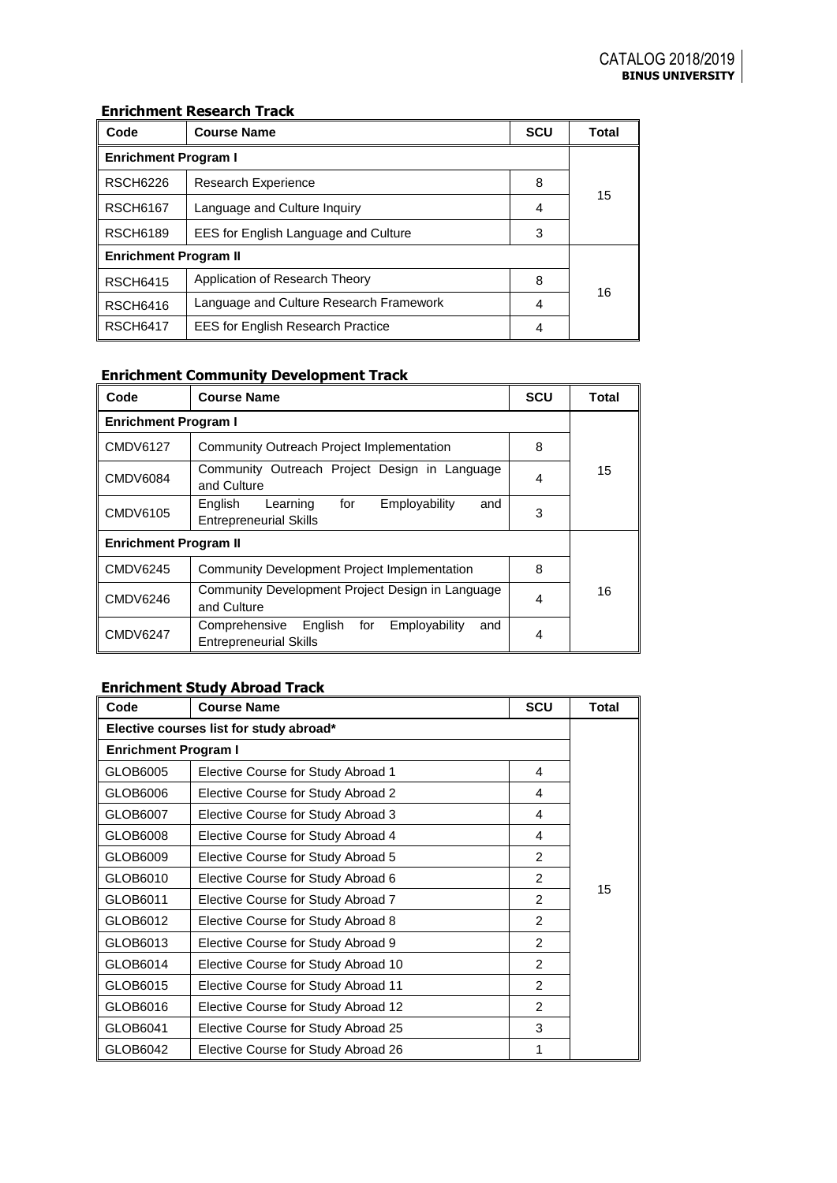## **Enrichment Research Track**

| Code                         | <b>Course Name</b>                           | <b>SCU</b> | Total |  |  |
|------------------------------|----------------------------------------------|------------|-------|--|--|
| <b>Enrichment Program I</b>  |                                              |            |       |  |  |
| <b>RSCH6226</b>              | <b>Research Experience</b>                   | 8          |       |  |  |
| <b>RSCH6167</b>              | Language and Culture Inquiry                 | 4          | 15    |  |  |
| <b>RSCH6189</b>              | EES for English Language and Culture         | 3          |       |  |  |
| <b>Enrichment Program II</b> |                                              |            |       |  |  |
| <b>RSCH6415</b>              | Application of Research Theory               | 8          | 16    |  |  |
| <b>RSCH6416</b>              | Language and Culture Research Framework<br>4 |            |       |  |  |
| <b>RSCH6417</b>              | <b>EES for English Research Practice</b>     |            |       |  |  |

# **Enrichment Community Development Track**

| Code                         | <b>Course Name</b>                                                                       | <b>SCU</b> | Total |  |  |
|------------------------------|------------------------------------------------------------------------------------------|------------|-------|--|--|
| <b>Enrichment Program I</b>  |                                                                                          |            |       |  |  |
| <b>CMDV6127</b>              | Community Outreach Project Implementation                                                | 8          |       |  |  |
| <b>CMDV6084</b>              | Community Outreach Project Design in Language<br>and Culture                             | 4          | 15    |  |  |
| CMDV6105                     | for<br>Employability<br>English<br>Learning<br>and<br><b>Entrepreneurial Skills</b>      | 3          |       |  |  |
| <b>Enrichment Program II</b> |                                                                                          |            |       |  |  |
| <b>CMDV6245</b>              | <b>Community Development Project Implementation</b>                                      | 8          |       |  |  |
| <b>CMDV6246</b>              | Community Development Project Design in Language<br>and Culture                          | 16         |       |  |  |
| <b>CMDV6247</b>              | English<br>for<br>Employability<br>Comprehensive<br>and<br><b>Entrepreneurial Skills</b> | 4          |       |  |  |

## **Enrichment Study Abroad Track**

| Code                                    | <b>Course Name</b>                  | <b>SCU</b>     | Total |  |  |
|-----------------------------------------|-------------------------------------|----------------|-------|--|--|
| Elective courses list for study abroad* |                                     |                |       |  |  |
| <b>Enrichment Program I</b>             |                                     |                |       |  |  |
| GLOB6005                                | Elective Course for Study Abroad 1  | 4              |       |  |  |
| GLOB6006                                | Elective Course for Study Abroad 2  | 4              |       |  |  |
| GLOB6007                                | Elective Course for Study Abroad 3  | 4              |       |  |  |
| GLOB6008                                | Elective Course for Study Abroad 4  | 4              |       |  |  |
| GLOB6009                                | Elective Course for Study Abroad 5  | $\mathcal{P}$  |       |  |  |
| GLOB6010                                | Elective Course for Study Abroad 6  | $\mathcal{P}$  |       |  |  |
| GLOB6011                                | Elective Course for Study Abroad 7  | 2              | 15    |  |  |
| GLOB6012                                | Elective Course for Study Abroad 8  | 2              |       |  |  |
| GLOB6013                                | Elective Course for Study Abroad 9  | $\mathcal{P}$  |       |  |  |
| GLOB6014                                | Elective Course for Study Abroad 10 | $\mathcal{P}$  |       |  |  |
| GLOB6015                                | Elective Course for Study Abroad 11 | $\overline{2}$ |       |  |  |
| GLOB6016                                | Elective Course for Study Abroad 12 | 2              |       |  |  |
| GLOB6041                                | Elective Course for Study Abroad 25 | 3              |       |  |  |
| GLOB6042                                | Elective Course for Study Abroad 26 | 1              |       |  |  |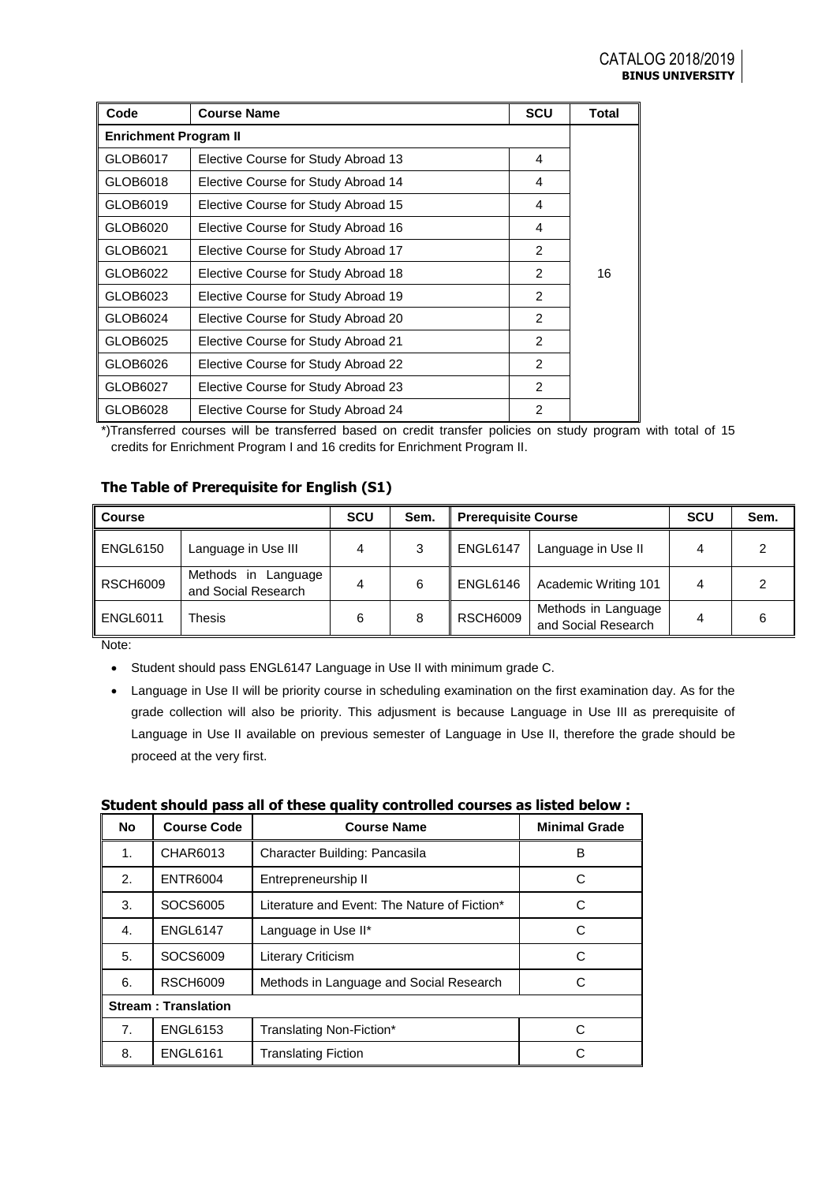| Code                         | <b>Course Name</b>                  | <b>SCU</b>     | Total |  |  |  |
|------------------------------|-------------------------------------|----------------|-------|--|--|--|
| <b>Enrichment Program II</b> |                                     |                |       |  |  |  |
| GLOB6017                     | Elective Course for Study Abroad 13 | 4              |       |  |  |  |
| GLOB6018                     | Elective Course for Study Abroad 14 | 4              |       |  |  |  |
| GLOB6019                     | Elective Course for Study Abroad 15 | 4              |       |  |  |  |
| GLOB6020                     | Elective Course for Study Abroad 16 | 4              |       |  |  |  |
| GLOB6021                     | Elective Course for Study Abroad 17 | 2              |       |  |  |  |
| GLOB6022                     | Elective Course for Study Abroad 18 | $\mathcal{P}$  | 16    |  |  |  |
| GLOB6023                     | Elective Course for Study Abroad 19 | $\mathcal{P}$  |       |  |  |  |
| GLOB6024                     | Elective Course for Study Abroad 20 | 2              |       |  |  |  |
| GLOB6025                     | Elective Course for Study Abroad 21 | $\mathcal{P}$  |       |  |  |  |
| GLOB6026                     | Elective Course for Study Abroad 22 | 2              |       |  |  |  |
| GLOB6027                     | Elective Course for Study Abroad 23 | 2              |       |  |  |  |
| GLOB6028                     | Elective Course for Study Abroad 24 | $\overline{2}$ |       |  |  |  |

\*)Transferred courses will be transferred based on credit transfer policies on study program with total of 15 credits for Enrichment Program I and 16 credits for Enrichment Program II.

## **The Table of Prerequisite for English (S1)**

| <b>Course</b>   |                                               | <b>SCU</b> | Sem. | <b>Prerequisite Course</b> |                                            | <b>SCU</b> | Sem. |
|-----------------|-----------------------------------------------|------------|------|----------------------------|--------------------------------------------|------------|------|
| <b>ENGL6150</b> | Language in Use III                           | 4          |      | <b>ENGL6147</b>            | Language in Use II                         |            |      |
| <b>RSCH6009</b> | Methods in<br>Language<br>and Social Research |            | 6    | ENGL6146                   | Academic Writing 101                       | 4          |      |
| <b>ENGL6011</b> | Thesis                                        | 6          | 8    | <b>RSCH6009</b>            | Methods in Language<br>and Social Research | 4          |      |

Note:

- Student should pass ENGL6147 Language in Use II with minimum grade C.
- Language in Use II will be priority course in scheduling examination on the first examination day. As for the grade collection will also be priority. This adjusment is because Language in Use III as prerequisite of Language in Use II available on previous semester of Language in Use II, therefore the grade should be proceed at the very first.

|  | Student should pass all of these quality controlled courses as listed below : |
|--|-------------------------------------------------------------------------------|
|  |                                                                               |

| <b>No</b>                  | <b>Course Code</b> | <b>Course Name</b>                           | <b>Minimal Grade</b> |  |
|----------------------------|--------------------|----------------------------------------------|----------------------|--|
| 1.                         | CHAR6013           | Character Building: Pancasila                | B                    |  |
| 2.                         | <b>ENTR6004</b>    | Entrepreneurship II                          | C                    |  |
| 3.                         | SOCS6005           | Literature and Event: The Nature of Fiction* | C                    |  |
| 4.                         | <b>ENGL6147</b>    | Language in Use II*                          | С                    |  |
| 5.                         | SOCS6009           | <b>Literary Criticism</b>                    | C                    |  |
| 6.                         | <b>RSCH6009</b>    | Methods in Language and Social Research      | C                    |  |
| <b>Stream: Translation</b> |                    |                                              |                      |  |
| 7.                         | <b>ENGL6153</b>    | Translating Non-Fiction*                     | C                    |  |
| 8.                         | <b>ENGL6161</b>    | <b>Translating Fiction</b>                   | C                    |  |